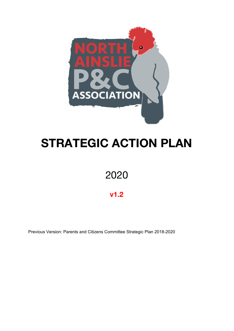

# **STRATEGIC ACTION PLAN**

## 2020

### **v1.2**

Previous Version: Parents and Citizens Committee Strategic Plan 2018-2020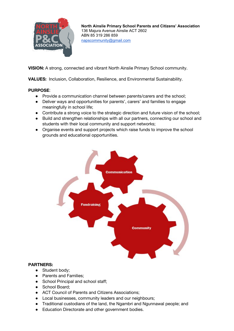

**VISION:** A strong, connected and vibrant North Ainslie Primary School community.

**VALUES:** Inclusion, Collaboration, Resilience, and Environmental Sustainability.

#### **PURPOSE**:

- Provide a communication channel between parents/carers and the school;
- Deliver ways and opportunities for parents', carers' and families to engage meaningfully in school life;
- Contribute a strong voice to the strategic direction and future vision of the school;
- Build and strengthen relationships with all our partners, connecting our school and students with their local community and support networks;
- Organise events and support projects which raise funds to improve the school grounds and educational opportunities.



#### **PARTNERS:**

- Student body:
- Parents and Families;
- School Principal and school staff;
- School Board:
- ACT Council of Parents and Citizens Associations:
- Local businesses, community leaders and our neighbours;
- Traditional custodians of the land, the Ngambri and Ngunnawal people; and
- Education Directorate and other government bodies.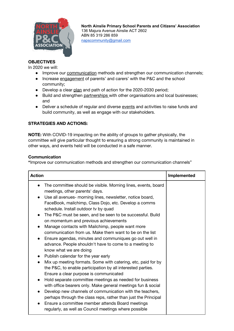

#### **OBJECTIVES**

In 2020 we will:

- Improve our communication methods and strengthen our communication channels;
- Increase engagement of parents' and carers' with the P&C and the school community;
- Develop a clear plan and path of action for the 2020-2030 period;
- Build and strengthen partnerships with other organisations and local businesses; and
- Deliver a schedule of regular and diverse events and activities to raise funds and build community, as well as engage with our stakeholders.

#### **STRATEGIES AND ACTIONS:**

**NOTE:** With COVID-19 impacting on the ability of groups to gather physically, the committee will give particular thought to ensuring a strong community is maintained in other ways, and events held will be conducted in a safe manner.

#### **Communication**

**"**Improve our communication methods and strengthen our communication channels"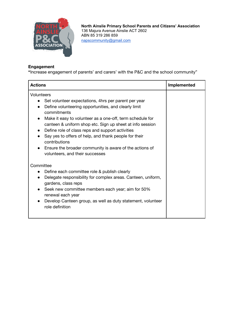

#### **Engagement**

**"**Increase engagement of parents' and carers' with the P&C and the school community"

| <b>Actions</b>                                                                                                                                                                                                                                                                                                                                                                                                                                                                                                                                      | Implemented |
|-----------------------------------------------------------------------------------------------------------------------------------------------------------------------------------------------------------------------------------------------------------------------------------------------------------------------------------------------------------------------------------------------------------------------------------------------------------------------------------------------------------------------------------------------------|-------------|
| Volunteers<br>Set volunteer expectations, 4hrs per parent per year<br>$\bullet$<br>Define volunteering opportunities, and clearly limit<br>commitments<br>Make it easy to volunteer as a one-off, term schedule for<br>$\bullet$<br>canteen & uniform shop etc. Sign up sheet at info session<br>Define role of class reps and support activities<br>Say yes to offers of help, and thank people for their<br>$\bullet$<br>contributions<br>Ensure the broader community is aware of the actions of<br>$\bullet$<br>volunteers, and their successes |             |
| Committee<br>Define each committee role & publish clearly<br>$\bullet$<br>Delegate responsibility for complex areas. Canteen, uniform,<br>$\bullet$<br>gardens, class reps<br>Seek new committee members each year; aim for 50%<br>renewal each year<br>Develop Canteen group, as well as duty statement, volunteer<br>$\bullet$<br>role definition                                                                                                                                                                                                 |             |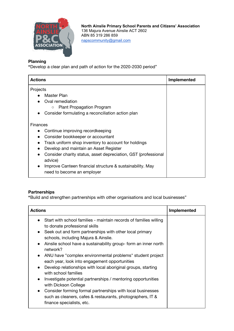

#### **Planning**

**"**Develop a clear plan and path of action for the 2020-2030 period"

| <b>Actions</b>                                                                                       | <b>Implemented</b> |
|------------------------------------------------------------------------------------------------------|--------------------|
| Projects<br>Master Plan<br>Oval remediation<br><b>Plant Propagation Program</b><br>$\circ$           |                    |
| Consider formulating a reconciliation action plan                                                    |                    |
| <b>Finances</b>                                                                                      |                    |
| Continue improving recordkeeping                                                                     |                    |
| Consider bookkeeper or accountant                                                                    |                    |
| Track uniform shop inventory to account for holdings                                                 |                    |
| Develop and maintain an Asset Register                                                               |                    |
| Consider charity status, asset depreciation, GST (professional<br>$\bullet$<br>advice)               |                    |
| Improve Canteen financial structure & sustainability. May<br>$\bullet$<br>need to become an employer |                    |

#### **Partnerships**

**"**Build and strengthen partnerships with other organisations and local businesses"

| <b>Actions</b>                                                                                                                                                                                                                                                                                                                                                                                                                                                                                                                                                                                                                                                                                                                                                                                                            | Implemented |
|---------------------------------------------------------------------------------------------------------------------------------------------------------------------------------------------------------------------------------------------------------------------------------------------------------------------------------------------------------------------------------------------------------------------------------------------------------------------------------------------------------------------------------------------------------------------------------------------------------------------------------------------------------------------------------------------------------------------------------------------------------------------------------------------------------------------------|-------------|
| Start with school families - maintain records of families willing<br>to donate professional skills<br>Seek out and form partnerships with other local primary<br>$\bullet$<br>schools, including Majura & Ainslie.<br>Ainslie school have a sustainability group- form an inner north<br>$\bullet$<br>network?<br>ANU have "complex environmental problems" student project<br>$\bullet$<br>each year, look into engagement opportunities<br>Develop relationships with local aboriginal groups, starting<br>$\bullet$<br>with school families<br>Investigate potential partnerships / mentoring opportunities<br>$\bullet$<br>with Dickson College<br>Consider forming formal partnerships with local businesses<br>$\bullet$<br>such as cleaners, cafes & restaurants, photographers, IT &<br>finance specialists, etc. |             |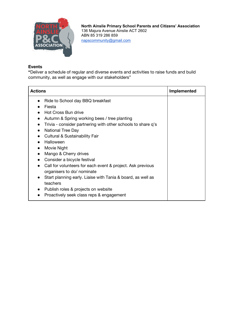

#### **Events**

**"**Deliver a schedule of regular and diverse events and activities to raise funds and build community, as well as engage with our stakeholders"

| <b>Actions</b>                                                                                                                                                                                                                                                                                                                                                                                                                                                                                                                                                                                                                                                                         | <b>Implemented</b> |
|----------------------------------------------------------------------------------------------------------------------------------------------------------------------------------------------------------------------------------------------------------------------------------------------------------------------------------------------------------------------------------------------------------------------------------------------------------------------------------------------------------------------------------------------------------------------------------------------------------------------------------------------------------------------------------------|--------------------|
| Ride to School day BBQ breakfast<br>Fiesta<br>Hot Cross Bun drive<br>Autumn & Spring working bees / tree planting<br>Trivia - consider partnering with other schools to share q's<br><b>National Tree Day</b><br>$\bullet$<br><b>Cultural &amp; Sustainability Fair</b><br>Halloween<br>$\bullet$<br>Movie Night<br>$\bullet$<br>Mango & Cherry drives<br>$\bullet$<br>Consider a bicycle festival<br>$\bullet$<br>Call for volunteers for each event & project. Ask previous<br>$\bullet$<br>organisers to do/ nominate<br>Start planning early. Liaise with Tania & board, as well as<br>teachers<br>Publish roles & projects on website<br>Proactively seek class reps & engagement |                    |